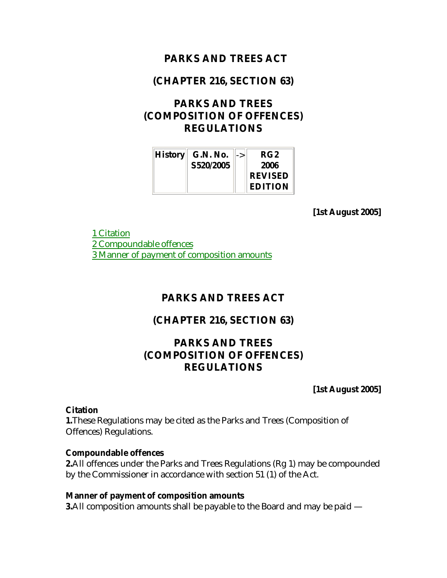### **PARKS AND TREES ACT**

## **(CHAPTER 216, SECTION 63)**

# **PARKS AND TREES (COMPOSITION OF OFFENCES) REGULATIONS**

| $\ $ <b>History</b> $\ $ | <b>G.N. No.</b> | RG <sub>2</sub> |
|--------------------------|-----------------|-----------------|
|                          | S520/2005       | 2006            |
|                          |                 | <b>REVISED</b>  |
|                          |                 | <b>EDITION</b>  |

**[1st August 2005]**

1 Citation 2 Compoundable offences 3 Manner of payment of composition amounts

## **PARKS AND TREES ACT**

### **(CHAPTER 216, SECTION 63)**

## **PARKS AND TREES (COMPOSITION OF OFFENCES) REGULATIONS**

**[1st August 2005]**

#### **Citation**

**1.**These Regulations may be cited as the Parks and Trees (Composition of Offences) Regulations.

#### **Compoundable offences**

**2.**All offences under the Parks and Trees Regulations (Rg 1) may be compounded by the Commissioner in accordance with section 51 (1) of the Act.

#### **Manner of payment of composition amounts**

**3.**All composition amounts shall be payable to the Board and may be paid —